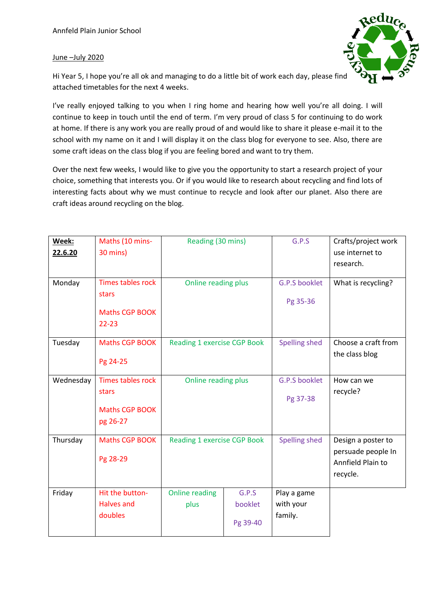## June –July 2020



Hi Year 5, I hope you're all ok and managing to do a little bit of work each day, please find attached timetables for the next 4 weeks.

I've really enjoyed talking to you when I ring home and hearing how well you're all doing. I will continue to keep in touch until the end of term. I'm very proud of class 5 for continuing to do work at home. If there is any work you are really proud of and would like to share it please e-mail it to the school with my name on it and I will display it on the class blog for everyone to see. Also, there are some craft ideas on the class blog if you are feeling bored and want to try them.

Over the next few weeks, I would like to give you the opportunity to start a research project of your choice, something that interests you. Or if you would like to research about recycling and find lots of interesting facts about why we must continue to recycle and look after our planet. Also there are craft ideas around recycling on the blog.

| Week:<br>22.6.20<br>Monday | Maths (10 mins-<br>30 mins)<br><b>Times tables rock</b><br>stars<br>Maths CGP BOOK | Reading (30 mins)<br>Online reading plus |                              | G.P.S<br><b>G.P.S booklet</b><br>Pg 35-36 | Crafts/project work<br>use internet to<br>research.<br>What is recycling? |
|----------------------------|------------------------------------------------------------------------------------|------------------------------------------|------------------------------|-------------------------------------------|---------------------------------------------------------------------------|
| Tuesday                    | $22 - 23$<br>Maths CGP BOOK<br>Pg 24-25                                            | <b>Reading 1 exercise CGP Book</b>       |                              | Spelling shed                             | Choose a craft from<br>the class blog                                     |
| Wednesday                  | <b>Times tables rock</b><br>stars<br><b>Maths CGP BOOK</b><br>pg 26-27             | Online reading plus                      |                              | G.P.S booklet<br>Pg 37-38                 | How can we<br>recycle?                                                    |
| Thursday                   | Maths CGP BOOK<br>Pg 28-29                                                         | <b>Reading 1 exercise CGP Book</b>       |                              | <b>Spelling shed</b>                      | Design a poster to<br>persuade people In<br>Annfield Plain to<br>recycle. |
| Friday                     | Hit the button-<br><b>Halves and</b><br>doubles                                    | <b>Online reading</b><br>plus            | G.P.S<br>booklet<br>Pg 39-40 | Play a game<br>with your<br>family.       |                                                                           |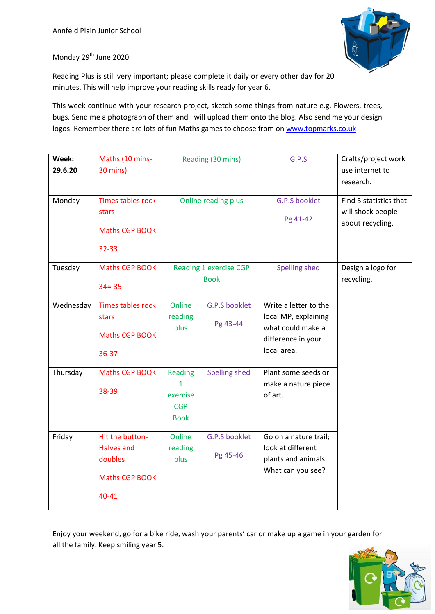

## Monday 29<sup>th</sup> June 2020

Reading Plus is still very important; please complete it daily or every other day for 20 minutes. This will help improve your reading skills ready for year 6.

This week continue with your research project, sketch some things from nature e.g. Flowers, trees, bugs. Send me a photograph of them and I will upload them onto the blog. Also send me your design logos. Remember there are lots of fun Maths games to choose from o[n www.topmarks.co.uk](http://www.topmarks.co.uk/)

| Week:     | Maths (10 mins-                   |                                       | Reading (30 mins)    | G.P.S                                    | Crafts/project work                         |
|-----------|-----------------------------------|---------------------------------------|----------------------|------------------------------------------|---------------------------------------------|
| 29.6.20   | 30 mins)                          |                                       |                      |                                          | use internet to                             |
|           |                                   |                                       |                      |                                          | research.                                   |
| Monday    | <b>Times tables rock</b><br>stars | Online reading plus                   |                      | G.P.S booklet                            | Find 5 statistics that<br>will shock people |
|           | Maths CGP BOOK                    |                                       |                      | Pg 41-42                                 | about recycling.                            |
|           | 32-33                             |                                       |                      |                                          |                                             |
| Tuesday   | Maths CGP BOOK                    | Reading 1 exercise CGP<br><b>Book</b> |                      | <b>Spelling shed</b>                     | Design a logo for                           |
|           | $34 = -35$                        |                                       |                      |                                          | recycling.                                  |
| Wednesday | Times tables rock                 | Online                                | <b>G.P.S booklet</b> | Write a letter to the                    |                                             |
|           | stars                             | reading                               |                      | local MP, explaining                     |                                             |
|           | <b>Maths CGP BOOK</b>             | Pg 43-44<br>plus                      | what could make a    |                                          |                                             |
|           |                                   |                                       |                      | difference in your                       |                                             |
|           | 36-37                             |                                       |                      | local area.                              |                                             |
| Thursday  | Maths CGP BOOK                    | <b>Reading</b>                        | <b>Spelling shed</b> | Plant some seeds or                      |                                             |
|           | 38-39                             | $\mathbf{1}$<br>exercise              |                      | make a nature piece<br>of art.           |                                             |
|           |                                   | <b>CGP</b>                            |                      |                                          |                                             |
|           |                                   | <b>Book</b>                           |                      |                                          |                                             |
| Friday    | Hit the button-                   | Online                                | <b>G.P.S booklet</b> | Go on a nature trail;                    |                                             |
|           | <b>Halves and</b><br>doubles      | reading                               | Pg 45-46             | look at different<br>plants and animals. |                                             |
|           |                                   | plus                                  |                      | What can you see?                        |                                             |
|           | Maths CGP BOOK                    |                                       |                      |                                          |                                             |
|           | 40-41                             |                                       |                      |                                          |                                             |

Enjoy your weekend, go for a bike ride, wash your parents' car or make up a game in your garden for all the family. Keep smiling year 5.

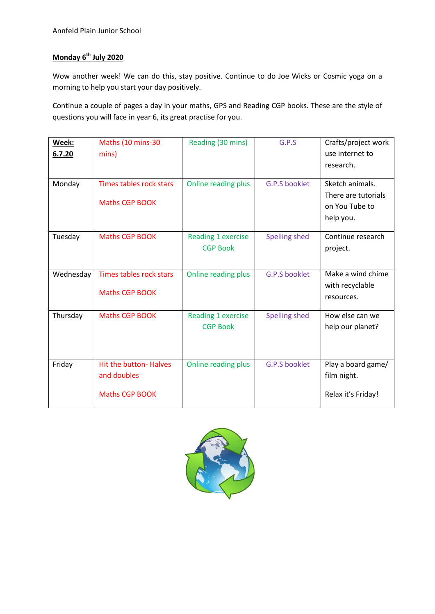## **Monday 6th July 2020**

Wow another week! We can do this, stay positive. Continue to do Joe Wicks or Cosmic yoga on a morning to help you start your day positively.

Continue a couple of pages a day in your maths, GPS and Reading CGP books. These are the style of questions you will face in year 6, its great practise for you.

| Week:     | Maths (10 mins-30              | Reading (30 mins)         | G.P.S         | Crafts/project work |
|-----------|--------------------------------|---------------------------|---------------|---------------------|
| 6.7.20    | mins)                          |                           |               | use internet to     |
|           |                                |                           |               | research.           |
|           |                                |                           |               |                     |
| Monday    | <b>Times tables rock stars</b> | Online reading plus       | G.P.S booklet | Sketch animals.     |
|           | <b>Maths CGP BOOK</b>          |                           |               | There are tutorials |
|           |                                |                           |               | on You Tube to      |
|           |                                |                           |               | help you.           |
| Tuesday   | <b>Maths CGP BOOK</b>          | <b>Reading 1 exercise</b> | Spelling shed | Continue research   |
|           |                                | <b>CGP Book</b>           |               | project.            |
|           |                                |                           |               |                     |
| Wednesday | Times tables rock stars        | Online reading plus       | G.P.S booklet | Make a wind chime   |
|           | <b>Maths CGP BOOK</b>          |                           |               | with recyclable     |
|           |                                |                           |               | resources.          |
| Thursday  | <b>Maths CGP BOOK</b>          | Reading 1 exercise        | Spelling shed | How else can we     |
|           |                                | <b>CGP Book</b>           |               | help our planet?    |
|           |                                |                           |               |                     |
|           |                                |                           |               |                     |
| Friday    | <b>Hit the button- Halves</b>  | Online reading plus       | G.P.S booklet | Play a board game/  |
|           | and doubles                    |                           |               | film night.         |
|           | <b>Maths CGP BOOK</b>          |                           |               | Relax it's Friday!  |